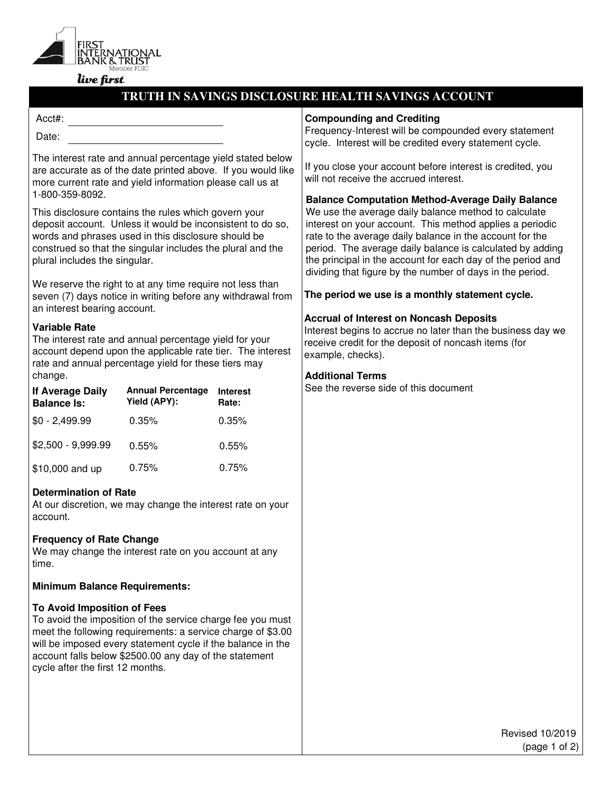

# live first

# **TRUTH IN SAVINGS DISCLOSURE HEALTH SAVINGS ACCOUNT**

#### Acct#:

Date:

The interest rate and annual percentage yield stated below are accurate as of the date printed above. If you would like more current rate and yield information please call us at 1-800-359-8092.

This disclosure contains the rules which govern your deposit account. Unless it would be inconsistent to do so, words and phrases used in this disclosure should be construed so that the singular includes the plural and the plural includes the singular.

We reserve the right to at any time require not less than seven (7) days notice in writing before any withdrawal from an interest bearing account.

# **Variable Rate**

The interest rate and annual percentage yield for your account depend upon the applicable rate tier. The interest rate and annual percentage yield for these tiers may change.

| <b>If Average Daily</b><br><b>Balance Is:</b> | <b>Annual Percentage</b><br>Yield (APY): | <b>Interest</b><br>Rate: |
|-----------------------------------------------|------------------------------------------|--------------------------|
| $$0 - 2,499.99$                               | 0.35%                                    | 0.35%                    |
| $$2,500 - 9,999.99$                           | 0.55%                                    | 0.55%                    |
| \$10,000 and up                               | 0.75%                                    | 0.75%                    |

# **Determination of Rate**

At our discretion, we may change the interest rate on your account.

# **Frequency of Rate Change**

We may change the interest rate on you account at any time.

#### **Minimum Balance Requirements:**

#### **To Avoid Imposition of Fees**

To avoid the imposition of the service charge fee you must meet the following requirements: a service charge of \$3.00 will be imposed every statement cycle if the balance in the account falls below \$2500.00 any day of the statement cycle after the first 12 months.

#### **Compounding and Crediting**

Frequency-Interest will be compounded every statement cycle. Interest will be credited every statement cycle.

If you close your account before interest is credited, you will not receive the accrued interest.

#### **Balance Computation Method-Average Daily Balance**

We use the average daily balance method to calculate interest on your account. This method applies a periodic rate to the average daily balance in the account for the period. The average daily balance is calculated by adding the principal in the account for each day of the period and dividing that figure by the number of days in the period.

#### **The period we use is a monthly statement cycle.**

# **Accrual of Interest on Noncash Deposits**

Interest begins to accrue no later than the business day we receive credit for the deposit of noncash items (for example, checks).

# **Additional Terms**

See the reverse side of this document